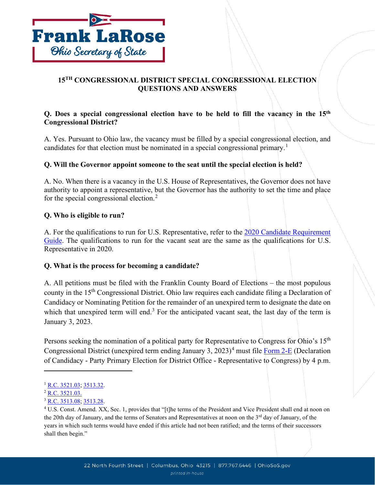

# **15TH CONGRESSIONAL DISTRICT SPECIAL CONGRESSIONAL ELECTION QUESTIONS AND ANSWERS**

# **Q. Does a special congressional election have to be held to fill the vacancy in the 15th Congressional District?**

A. Yes. Pursuant to Ohio law, the vacancy must be filled by a special congressional election, and candidates for that election must be nominated in a special congressional primary.<sup>[1](#page-0-0)</sup>

# **Q. Will the Governor appoint someone to the seat until the special election is held?**

A. No. When there is a vacancy in the U.S. House of Representatives, the Governor does not have authority to appoint a representative, but the Governor has the authority to set the time and place for the special congressional election.[2](#page-0-1)

### **Q. Who is eligible to run?**

A. For the qualifications to run for U.S. Representative, refer to the [2020 Candidate Requirement](https://www.ohiosos.gov/globalassets/publications/election/2020_crg.pdf)  [Guide.](https://www.ohiosos.gov/globalassets/publications/election/2020_crg.pdf) The qualifications to run for the vacant seat are the same as the qualifications for U.S. Representative in 2020.

### **Q. What is the process for becoming a candidate?**

A. All petitions must be filed with the Franklin County Board of Elections – the most populous county in the 15th Congressional District. Ohio law requires each candidate filing a Declaration of Candidacy or Nominating Petition for the remainder of an unexpired term to designate the date on which that unexpired term will end.<sup>[3](#page-0-2)</sup> For the anticipated vacant seat, the last day of the term is January 3, 2023.

Persons seeking the nomination of a political party for Representative to Congress for Ohio's 15<sup>th</sup> Congressional District (unexpired term ending January 3,  $2023$ )<sup>[4](#page-0-3)</sup> must file [Form 2-E](https://www.ohiosos.gov/globalassets/elections/forms/2-e.pdf) (Declaration of Candidacy - Party Primary Election for District Office - Representative to Congress) by 4 p.m.

<span id="page-0-0"></span><sup>&</sup>lt;sup>1</sup> [R.C. 3521.03;](http://codes.ohio.gov/orc/3521.03) [3513.32.](http://codes.ohio.gov/orc/3513.32)

<span id="page-0-1"></span><sup>&</sup>lt;sup>2</sup> [R.C. 3521.03.](http://codes.ohio.gov/orc/3521.03)

<span id="page-0-2"></span><sup>3</sup> [R.C. 3513.08;](http://codes.ohio.gov/orc/3513.08) [3513.28.](http://codes.ohio.gov/orc/3513.28)

<span id="page-0-3"></span><sup>&</sup>lt;sup>4</sup> U.S. Const. Amend. XX, Sec. 1, provides that "[t]he terms of the President and Vice President shall end at noon on the 20th day of January, and the terms of Senators and Representatives at noon on the 3<sup>rd</sup> day of January, of the years in which such terms would have ended if this article had not been ratified; and the terms of their successors shall then begin."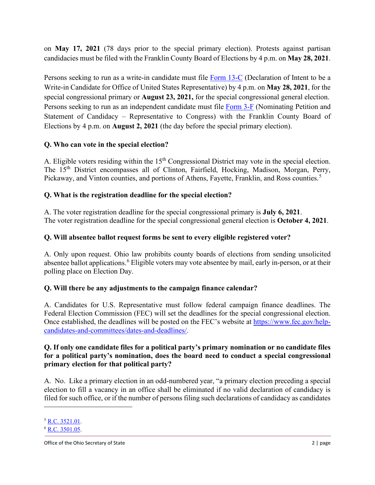on **May 17, 2021** (78 days prior to the special primary election). Protests against partisan candidacies must be filed with the Franklin County Board of Elections by 4 p.m. on **May 28, 2021**.

Persons seeking to run as a write-in candidate must file [Form 13-C](https://www.ohiosos.gov/globalassets/elections/forms/13-c.pdf) (Declaration of Intent to be a Write-in Candidate for Office of United States Representative) by 4 p.m. on **May 28, 2021**, for the special congressional primary or **August 23, 2021,** for the special congressional general election. Persons seeking to run as an independent candidate must file [Form 3-F](https://www.ohiosos.gov/globalassets/elections/forms/3-f.pdf) (Nominating Petition and Statement of Candidacy – Representative to Congress) with the Franklin County Board of Elections by 4 p.m. on **August 2, 2021** (the day before the special primary election).

# **Q. Who can vote in the special election?**

A. Eligible voters residing within the  $15<sup>th</sup>$  Congressional District may vote in the special election. The 15th District encompasses all of Clinton, Fairfield, Hocking, Madison, Morgan, Perry, Pickaway, and Vinton counties, and portions of Athens, Fayette, Franklin, and Ross counties.<sup>[5](#page-1-0)</sup>

# **Q. What is the registration deadline for the special election?**

A. The voter registration deadline for the special congressional primary is **July 6, 2021**. The voter registration deadline for the special congressional general election is **October 4, 2021**.

# **Q. Will absentee ballot request forms be sent to every eligible registered voter?**

A. Only upon request. Ohio law prohibits county boards of elections from sending unsolicited absentee ballot applications.<sup>[6](#page-1-1)</sup> Eligible voters may vote absentee by mail, early in-person, or at their polling place on Election Day.

### **Q. Will there be any adjustments to the campaign finance calendar?**

A. Candidates for U.S. Representative must follow federal campaign finance deadlines. The Federal Election Commission (FEC) will set the deadlines for the special congressional election. Once established, the deadlines will be posted on the FEC's website at [https://www.fec.gov/help](https://www.fec.gov/help-candidates-and-committees/dates-and-deadlines/)[candidates-and-committees/dates-and-deadlines/.](https://www.fec.gov/help-candidates-and-committees/dates-and-deadlines/)

#### **Q. If only one candidate files for a political party's primary nomination or no candidate files for a political party's nomination, does the board need to conduct a special congressional primary election for that political party?**

A. No. Like a primary election in an odd-numbered year, "a primary election preceding a special election to fill a vacancy in an office shall be eliminated if no valid declaration of candidacy is filed for such office, or if the number of persons filing such declarations of candidacy as candidates

<span id="page-1-0"></span><sup>5</sup> [R.C. 3521.01.](http://codes.ohio.gov/orc/3521.01v1)

<span id="page-1-1"></span><sup>6</sup> [R.C. 3501.05.](http://codes.ohio.gov/orc/3501.05)